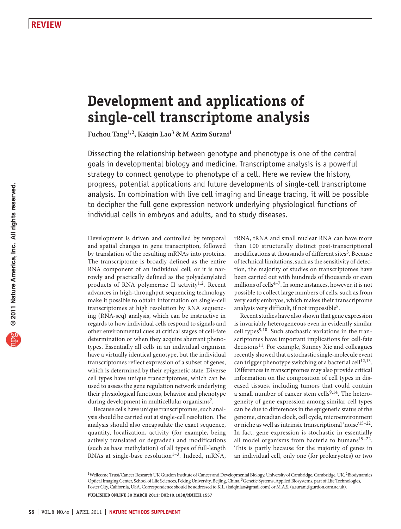# **Development and applications of single-cell transcriptome analysis**

**Fuchou Tang1,2, Kaiqin Lao3 & M Azim Surani1**

Dissecting the relationship between genotype and phenotype is one of the central goals in developmental biology and medicine. Transcriptome analysis is a powerful strategy to connect genotype to phenotype of a cell. Here we review the history, progress, potential applications and future developments of single-cell transcriptome analysis. In combination with live cell imaging and lineage tracing, it will be possible to decipher the full gene expression network underlying physiological functions of individual cells in embryos and adults, and to study diseases.

Development is driven and controlled by temporal and spatial changes in gene transcription, followed by translation of the resulting mRNAs into proteins. The transcriptome is broadly defined as the entire RNA component of an individual cell, or it is narrowly and practically defined as the polyadenylated products of RNA polymerase II activity<sup>1,2</sup>. Recent advances in high-throughput sequencing technology make it possible to obtain information on single-cell transcriptomes at high resolution by RNA sequencing (RNA-seq) analysis, which can be instructive in regards to how individual cells respond to signals and other environmental cues at critical stages of cell-fate determination or when they acquire aberrant phenotypes. Essentially all cells in an individual organism have a virtually identical genotype, but the individual transcriptomes reflect expression of a subset of genes, which is determined by their epigenetic state. Diverse cell types have unique transcriptomes, which can be used to assess the gene regulation network underlying their physiological functions, behavior and phenotype during development in multicellular organisms[2](#page-4-0).

Because cells have unique transcriptomes, such analysis should be carried out at single-cell resolution. The analysis should also encapsulate the exact sequence, quantity, localization, activity (for example, being actively translated or degraded) and modifications (such as base methylation) of all types of full-length RNAs at single-base resolution $1-3$ . Indeed, mRNA, rRNA, tRNA and small nuclear RNA can have more than 100 structurally distinct post-transcriptional modifications at thousands of different sites<sup>3</sup>. Because of technical limitations, such as the sensitivity of detection, the majority of studies on transcriptomes have been carried out with hundreds of thousands or even millions of cells<sup>4-7</sup>. In some instances, however, it is not possible to collect large numbers of cells, such as from very early embryos, which makes their transcriptome analysis very difficult, if not impossible<sup>8</sup>.

Recent studies have also shown that gene expression is invariably heterogeneous even in evidently similar cell types<sup>9,10</sup>. Such stochastic variations in the transcriptomes have important implications for cell-fate decisions<sup>[11](#page-4-3)</sup>. For example, Sunney Xie and colleagues recently showed that a stochastic single-molecule event can trigger phenotype switching of a bacterial cell<sup>12,13</sup>. Differences in transcriptomes may also provide critical information on the composition of cell types in diseased tissues, including tumors that could contain a small number of cancer stem cells $9,14$ . The heterogeneity of gene expression among similar cell types can be due to differences in the epigenetic status of the genome, circadian clock, cell cycle, microenvironment or niche as well as intrinsic transcriptional 'noise'15–22. In fact, gene expression is stochastic in essentially all model organisms from bacteria to humans $19-22$ . This is partly because for the majority of genes in an individual cell, only one (for prokaryotes) or two

<sup>&</sup>lt;sup>1</sup>Wellcome Trust/Cancer Research UK Gurdon Institute of Cancer and Developmental Biology, University of Cambridge, Cambridge, UK.<sup>2</sup>Biodynamics Optical Imaging Center, School of Life Sciences, Peking University, Beijing, China. 3Genetic Systems, Applied Biosystems, part of Life Technologies, Foster City, California, USA. Correspondence should be addressed to K.L. (kaiqinlao@gmail.com) or M.A.S. (a.surani@gurdon.cam.ac.uk). **Published online 30 march 2011; [doi:10.1038/nmeth.1557](http://www.nature.com/doifinder/10.1038/nmeth.1557)**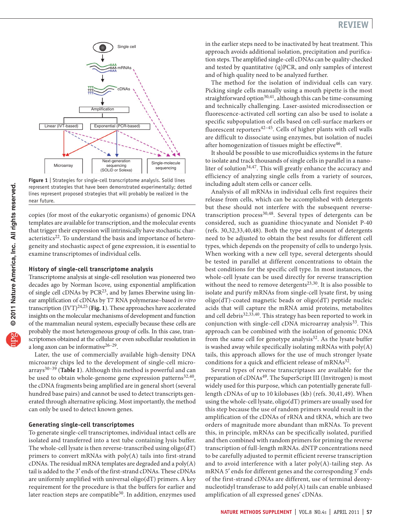

<span id="page-1-0"></span>**Figure 1** | Strategies for single-cell transcriptome analysis. Solid lines represent strategies that have been demonstrated experimentally; dotted lines represent proposed strategies that will probably be realized in the near future.

copies (for most of the eukaryotic organisms) of genomic DNA templates are available for transcription, and the molecular events that trigger their expression will intrinsically have stochastic char-acteristics<sup>[22](#page-4-4)</sup>. To understand the basis and importance of heterogeneity and stochastic aspect of gene expression, it is essential to examine transcriptomes of individual cells.

#### **History of single-cell transcriptome analysis**

Transcriptome analysis at single-cell resolution was pioneered two decades ago by Norman Iscove, using exponential amplification of single cell cDNAs by PCR[23,](#page-4-5) and by James Eberwine using linear amplification of cDNAs by T7 RNA polymerase–based *in vitro* transcription  $(IVT)^{24,25}$  ([Fig. 1](#page-1-0)). These approaches have accelerated insights on the molecular mechanisms of development and function of the mammalian neural system, especially because these cells are probably the most heterogeneous group of cells. In this case, transcriptomes obtained at the cellular or even subcellular resolution in a long axon can be informative  $26-29$ .

Later, the use of commercially available high-density DNA microarray chips led to the development of single-cell microarrays30–39 (**[Table 1](#page-2-0)**). Although this method is powerful and can be used to obtain whole-genome gene expression patterns $32,40$ , the cDNA fragments being amplified are in general short (several hundred base pairs) and cannot be used to detect transcripts generated through alternative splicing. Most importantly, the method can only be used to detect known genes.

### **Generating single-cell transcriptomes**

To generate single-cell transcriptomes, individual intact cells are isolated and transferred into a test tube containing lysis buffer. The whole-cell lysate is then reverse-transcribed using oligo(dT) primers to convert mRNAs with poly(A) tails into first-strand  $c$ DNAs. The residual mRNA templates are degraded and a  $poly(A)$ tail is added to the 3′ ends of the first-strand cDNAs. These cDNAs are uniformly amplified with universal oligo(dT) primers. A key requirement for the procedure is that the buffers for earlier and later reaction steps are compatible<sup>30</sup>. In addition, enzymes used in the earlier steps need to be inactivated by heat treatment. This approach avoids additional isolation, precipitation and purification steps. The amplified single-cell cDNAs can be quality-checked and tested by quantitative (q)PCR, and only samples of interest and of high quality need to be analyzed further.

The method for the isolation of individual cells can vary. Picking single cells manually using a mouth pipette is the most straightforward option<sup>30,41</sup>, although this can be time-consuming and technically challenging. Laser-assisted microdissection or fluorescence-activated cell sorting can also be used to isolate a specific subpopulation of cells based on cell-surface markers or fluorescent reporters42–45. Cells of higher plants with cell walls are difficult to dissociate using enzymes, but isolation of nuclei after homogenization of tissues might be effective<sup>[46](#page-5-0)</sup>.

It should be possible to use microfluidics systems in the future to isolate and track thousands of single cells in parallel in a nanoliter of solution<sup>34,47</sup>. This will greatly enhance the accuracy and efficiency of analyzing single cells from a variety of sources, including adult stem cells or cancer cells.

Analysis of all mRNAs in individual cells first requires their release from cells, which can be accomplished with detergents but these should not interfere with the subsequent reversetranscription process<sup>30,48</sup>. Several types of detergents can be considered, such as guanidine thiocyanate and Nonidet P-40 (refs. 30,32,33,40,48). Both the type and amount of detergents need to be adjusted to obtain the best results for different cell types, which depends on the propensity of cells to undergo lysis. When working with a new cell type, several detergents should be tested in parallel at different concentrations to obtain the best conditions for the specific cell type. In most instances, the whole-cell lysate can be used directly for reverse transcription without the need to remove detergents<sup>23,30</sup>. It is also possible to isolate and purify mRNAs from single-cell lysate first, by using oligo(dT)-coated magnetic beads or oligo(dT) peptide nucleic acids that will capture the mRNA amid proteins, metabolites and cell debris<sup>32,33,40</sup>. This strategy has been reported to work in conjunction with single-cell cDNA microarray analysis<sup>[33](#page-4-7)</sup>. This approach can be combined with the isolation of genomic DNA from the same cell for genotype analysis<sup>[32](#page-4-8)</sup>. As the lysate buffer is washed away while specifically isolating mRNAs with poly(A) tails, this approach allows for the use of much stronger lysate conditions for a quick and efficient release of mRNAs<sup>32</sup>.

Several types of reverse transcriptases are available for the preparation of cDNAs<sup>[49](#page-5-1)</sup>. The SuperScript III (Invitrogen) is most widely used for this purpose, which can potentially generate fulllength cDNAs of up to 10 kilobases (kb) (refs. 30,41,49). When using the whole-cell lysate, oligo(dT) primers are usually used for this step because the use of random primers would result in the amplification of the cDNAs of rRNA and tRNA, which are two orders of magnitude more abundant than mRNAs. To prevent this, in principle, mRNAs can be specifically isolated, purified and then combined with random primers for priming the reverse transcription of full-length mRNAs. dNTP concentrations need to be carefully adjusted to permit efficient reverse transcription and to avoid interference with a later  $poly(A)$ -tailing step. As mRNA 5′ ends for different genes and the corresponding 3′ ends of the first-strand cDNAs are different, use of terminal deoxynucleotidyl transferase to add poly(A) tails can enable unbiased amplification of all expressed genes' cDNAs.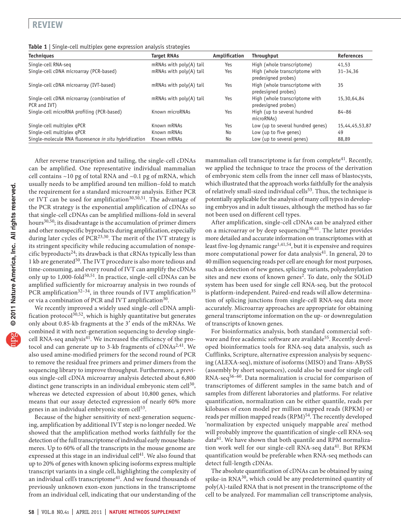# **review**

<span id="page-2-0"></span>

| Table 1   Single-cell multiplex gene expression analysis strategies |  |  |  |
|---------------------------------------------------------------------|--|--|--|
|                                                                     |  |  |  |

| <b>Techniques</b>                                           | <b>Target RNAs</b>        | Amplification | <b>Throughput</b>                                     | <b>References</b> |
|-------------------------------------------------------------|---------------------------|---------------|-------------------------------------------------------|-------------------|
| Single-cell RNA-seg                                         | mRNAs with $poly(A)$ tail | Yes           | High (whole transcriptome)                            | 41.53             |
| Single-cell cDNA microarray (PCR-based)                     | mRNAs with poly(A) tail   | Yes           | High (whole transcriptome with<br>predesigned probes) | $31 - 34,36$      |
| Single-cell cDNA microarray (IVT-based)                     | mRNAs with $poly(A)$ tail | Yes           | High (whole transcriptome with<br>predesigned probes) | 35                |
| Single-cell cDNA microarray (combination of<br>PCR and IVT) | mRNAs with $poly(A)$ tail | Yes           | High (whole transcriptome with<br>predesigned probes) | 15,30,64,84       |
| Single-cell microRNA profiling (PCR-based)                  | Known microRNAs           | Yes           | High (up to several hundred<br>microRNAs)             | $84 - 86$         |
| Single-cell multiplex gPCR                                  | Known mRNAs               | Yes           | Low (up to several hundred genes)                     | 15,44,45,53,87    |
| Single-cell multiplex gPCR                                  | Known mRNAs               | No            | Low (up to five genes)                                | 49                |
| Single-molecule RNA fluoresence in situ hybridization       | Known mRNAs               | No            | Low (up to several genes)                             | 88,89             |

After reverse transcription and tailing, the single-cell cDNAs can be amplified. One representative individual mammalian cell contains ~10 pg of total RNA and ~0.1 pg of mRNA, which usually needs to be amplified around ten million–fold to match the requirement for a standard microarray analysis. Either PCR or IVT can be used for amplification<sup>30,50,51</sup>. The advantage of the PCR strategy is the exponential amplification of cDNAs so that single-cell cDNAs can be amplified millions-fold in several hours<sup>30,50</sup>; its disadvantage is the accumulation of primer dimers and other nonspecific byproducts during amplification, especially during later cycles of  $PCR^{23,30}$ . The merit of the IVT strategy is its stringent specificity while reducing accumulation of nonspecific byproducts<sup>24</sup>; its drawback is that cRNAs typically less than 1 kb are generated<sup>[50](#page-5-2)</sup>. The IVT procedure is also more tedious and time-consuming, and every round of IVT can amplify the cDNAs only up to 1,000-fold<sup>50,51</sup>. In practice, single-cell cDNAs can be amplified sufficiently for microarray analysis in two rounds of PCR amplification<sup>32-34</sup>, in three rounds of IVT amplification<sup>[35](#page-4-10)</sup> or via a combination of PCR and IVT amplification<sup>[30](#page-4-6)</sup>.

We recently improved a widely used single-cell cDNA amplification protocol<sup>30,52</sup>, which is highly quantitative but generates only about 0.85-kb fragments at the 3′ ends of the mRNAs. We combined it with next-generation sequencing to develop singlecell RNA-seq analysis<sup>41</sup>. We increased the efficiency of the protocol and can generate up to 3-kb fragments of  $\text{cDNAs}^{2,41}$ . We also used amine-modified primers for the second round of PCR to remove the residual free primers and primer dimers from the sequencing library to improve throughput. Furthermore, a previous single-cell cDNA microarray analysis detected about 6,800 distinct gene transcripts in an individual embryonic stem cell<sup>[3](#page-5-4)0</sup>, whereas we detected expression of about 10,800 genes, which means that our assay detected expression of nearly 60% more genes in an individual embryonic stem cell<sup>53</sup>.

Because of the higher sensitivity of next-generation sequencing, amplification by additional IVT step is no longer needed. We showed that the amplification method works faithfully for the detection of the full transcriptome of individual early mouse blastomeres. Up to 60% of all the transcripts in the mouse genome are expressed at this stage in an individual cell<sup>[41](#page-5-3)</sup>. We also found that up to 20% of genes with known splicing isoforms express multiple transcript variants in a single cell, highlighting the complexity of an individual cell's transcriptome<sup>[41](#page-5-3)</sup>. And we found thousands of previously unknown exon-exon junctions in the transcriptome from an individual cell, indicating that our understanding of the mammalian cell transcriptome is far from complete<sup>41</sup>. Recently, we applied the technique to trace the process of the derivation of embryonic stem cells from the inner cell mass of blastocysts, which illustrated that the approach works faithfully for the analysis of relatively small-sized individual cells<sup>[53](#page-5-4)</sup>. Thus, the technique is potentially applicable for the analysis of many cell types in developing embryos and in adult tissues, although the method has so far not been used on different cell types.

After amplification, single-cell cDNAs can be analyzed either on a microarray or by deep sequencing<sup>30,41</sup>. The latter provides more detailed and accurate information on transcriptomes with at least five-log dynamic range<sup>1,41,54</sup>, but it is expensive and requires more computational power for data analysis<sup>[41](#page-5-3)</sup>. In general, 20 to 40 million sequencing reads per cell are enough for most purposes, such as detection of new genes, splicing variants, polyadenylation sites and new exons of known genes<sup>2</sup>. To date, only the SOLiD system has been used for single cell RNA-seq, but the protocol is platform-independent. Paired-end reads will allow determination of splicing junctions from single-cell RNA-seq data more accurately. Microarray approaches are appropriate for obtaining general transcriptome information on the up- or downregulation of transcripts of known genes.

For bioinformatics analysis, both standard commercial soft-ware and free academic software are available<sup>[55](#page-5-5)</sup>. Recently developed bioinformatics tools for RNA-seq data analysis, such as Cufflinks, Scripture, alternative expression analysis by sequencing (ALEXA-seq), mixture of isoforms (MISO) and Trans-ABySS (assembly by short sequences), could also be used for single cell RNA-seq<sup>56-60</sup>. Data normalization is crucial for comparison of transcriptomes of different samples in the same batch and of samples from different laboratories and platforms. For relative quantification, normalization can be either quantile, reads per kilobases of exon model per million mapped reads (RPKM) or reads per million mapped reads (RPM)<sup>[54](#page-5-6)</sup>. The recently developed 'normalization by expected uniquely mappable area' method will probably improve the quantification of single-cell RNA-seq data<sup>61</sup>. We have shown that both quantile and RPM normalization work well for our single-cell RNA-seq data<sup>41</sup>. But RPKM quantification would be preferable when RNA-seq methods can detect full-length cDNAs.

The absolute quantification of cDNAs can be obtained by using spike-in  $RNA^{30}$ , which could be any predetermined quantity of poly(A)-tailed RNA that is not present in the transcriptome of the cell to be analyzed. For mammalian cell transcriptome analysis,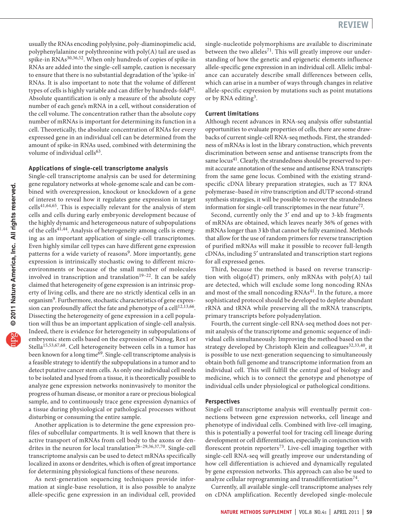usually the RNAs encoding polylysine, poly-diaminopimelic acid, polyphenylalanine or polythreonine with poly(A) tail are used as spike-in RNAs30,36,52. When only hundreds of copies of spike-in RNAs are added into the single-cell sample, caution is necessary to ensure that there is no substantial degradation of the 'spike-in' RNAs. It is also important to note that the volume of different types of cells is highly variable and can differ by hundreds-fold $62$ . Absolute quantification is only a measure of the absolute copy number of each gene's mRNA in a cell, without consideration of the cell volume. The concentration rather than the absolute copy number of mRNAs is important for determining its function in a cell. Theoretically, the absolute concentration of RNAs for every expressed gene in an individual cell can be determined from the amount of spike-in RNAs used, combined with determining the volume of individual cells<sup>[63](#page-5-9)</sup>.

## **Applications of single-cell transcriptome analysis**

Single-cell transcriptome analysis can be used for determining gene regulatory networks at whole-genome scale and can be combined with overexpression, knockout or knockdown of a gene of interest to reveal how it regulates gene expression in target  $cells<sup>41,64,65</sup>$ . This is especially relevant for the analysis of stem cells and cells during early embryonic development because of the highly dynamic and heterogeneous nature of subpopulations of the cells<sup>41,44</sup>. Analysis of heterogeneity among cells is emerging as an important application of single-cell transcriptomes. Even highly similar cell types can have different gene expression patterns for a wide variety of reasons<sup>[9](#page-4-12)</sup>. More importantly, gene expression is intrinsically stochastic owing to different microenvironments or because of the small number of molecules involved in transcription and translation<sup>19–22</sup>. It can be safely claimed that heterogeneity of gene expression is an intrinsic property of living cells, and there are no strictly identical cells in an organism<sup>9</sup>. Furthermore, stochastic characteristics of gene expression can profoundly affect the fate and phenotype of a cell<sup>12,13,66</sup>. Dissecting the heterogeneity of gene expression in a cell population will thus be an important application of single-cell analysis. Indeed, there is evidence for heterogeneity in subpopulations of embryonic stem cells based on the expression of Nanog, Rex1 or Stella15,53,67,68. Cell heterogeneity between cells in a tumor has been known for a long time<sup>69</sup>. Single-cell transcriptome analysis is a feasible strategy to identify the subpopulations in a tumor and to detect putative cancer stem cells. As only one individual cell needs to be isolated and lysed from a tissue, it is theoretically possible to analyze gene expression networks noninvasively to monitor the progress of human disease, or monitor a rare or precious biological sample, and to continuously trace gene expression dynamics of a tissue during physiological or pathological processes without disturbing or consuming the entire sample.

Another application is to determine the gene expression profiles of subcellular compartments. It is well known that there is active transport of mRNAs from cell body to the axons or dendrites in the neuron for local translation<sup>26-29,36,37,70</sup>. Single-cell transcriptome analysis can be used to detect mRNAs specifically localized in axons or dendrites, which is often of great importance for determining physiological functions of these neurons.

As next-generation sequencing techniques provide information at single-base resolution, it is also possible to analyze allele-specific gene expression in an individual cell, provided single-nucleotide polymorphisms are available to discriminate between the two alleles<sup>71</sup>. This will greatly improve our understanding of how the genetic and epigenetic elements influence allele-specific gene expression in an individual cell. Allelic imbalance can accurately describe small differences between cells, which can arise in a number of ways through changes in relative allele-specific expression by mutations such as point mutations or by RNA editing<sup>[3](#page-4-13)</sup>.

## **Current limitations**

Although recent advances in RNA-seq analysis offer substantial opportunities to evaluate properties of cells, there are some drawbacks of current single-cell RNA-seq methods. First, the strandedness of mRNAs is lost in the library construction, which prevents discrimination between sense and antisense transcripts from the same locus<sup>41</sup>. Clearly, the strandedness should be preserved to permit accurate annotation of the sense and antisense RNA transcripts from the same gene locus. Combined with the existing strandspecific cDNA library preparation strategies, such as T7 RNA polymerase–based *in vitro* transcription and dUTP second-strand synthesis strategies, it will be possible to recover the strandedness information for single-cell transcriptomes in the near future<sup>72</sup>.

Second, currently only the 3′ end and up to 3-kb fragments of mRNAs are obtained, which leaves nearly 36% of genes with mRNAs longer than 3 kb that cannot be fully examined. Methods that allow for the use of random primers for reverse transcription of purified mRNAs will make it possible to recover full-length cDNAs, including 5′ untranslated and transcription start regions for all expressed genes.

Third, because the method is based on reverse transcription with oligo(dT) primers, only mRNAs with poly(A) tail are detected, which will exclude some long noncoding RNAs and most of the small noncoding RNAs<sup>[41](#page-5-3)</sup>. In the future, a more sophisticated protocol should be developed to deplete abundant rRNA and tRNA while preserving all the mRNA transcripts, primary transcripts before polyadenylation.

Fourth, the current single-cell RNA-seq method does not permit analysis of the transcriptome and genomic sequence of individual cells simultaneously. Improving the method based on the strategy developed by Christoph Klein and colleagues<sup>32,33,40</sup>, it is possible to use next-generation sequencing to simultaneously obtain both full genome and transcriptome information from an individual cell. This will fulfill the central goal of biology and medicine, which is to connect the genotype and phenotype of individual cells under physiological or pathological conditions.

#### **Perspectives**

Single-cell transcriptome analysis will eventually permit connections between gene expression networks, cell lineage and phenotype of individual cells. Combined with live-cell imaging, this is potentially a powerful tool for tracing cell lineage during development or cell differentiation, especially in conjunction with florescent protein reporters<sup>73</sup>. Live-cell imaging together with single-cell RNA-seq will greatly improve our understanding of how cell differentiation is achieved and dynamically regulated by gene expression networks. This approach can also be used to analyze cellular reprogramming and transdifferentiation<sup>74</sup>.

Currently, all available single-cell transcriptome analyses rely on cDNA amplification. Recently developed single-molecule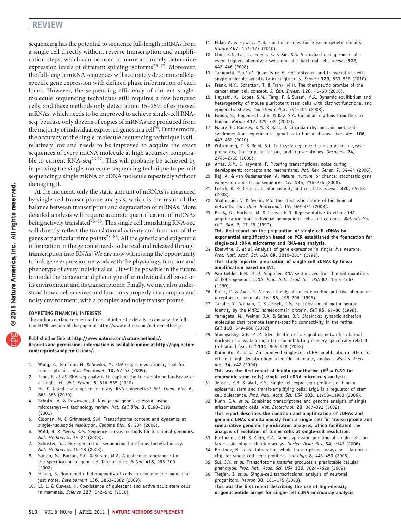# **review**

sequencing has the potential to sequence full-length mRNAs from a single cell directly without reverse transcription and amplification steps, which can be used to more accurately determine expression levels of different splicing isoforms<sup>75-77</sup>. Moreover, the full-length mRNA sequences will accurately determine allelespecific gene expression with defined phase information of each locus. However, the sequencing efficiency of current singlemolecule sequencing techniques still requires a few hundred cells, and these methods only detect about 15–25% of expressed mRNAs, which needs to be improved to achieve single-cell RNAseq, because only dozens of copies of mRNAs are produced from the majority of individual expressed genes in a cell<sup>[76](#page-5-14)</sup>. Furthermore, the accuracy of the single-molecule sequencing technique is still relatively low and needs to be improved to acquire the exact sequences of every mRNA molecule at high accuracy comparable to current RNA-seq<sup>76,77</sup>. This will probably be achieved by improving the single-molecule sequencing technique to permit sequencing a single mRNA or cDNA molecule repeatedly without damaging it.

At the moment, only the static amount of mRNAs is measured by single-cell transcriptome analysis, which is the result of the balance between transcription and degradation of mRNAs. More detailed analysis will require accurate quantification of mRNAs being actively translated<sup>78-83</sup>. This single cell translating RNA-seq will directly reflect the translational activity and function of the genes at particular time points<sup>78–83</sup>. All the genetic and epigenetic information in the genome needs to be read and released through transcription into RNAs. We are now witnessing the opportunity to link gene expression network with the physiology, function and phenotype of every individual cell. It will be possible in the future to model the behavior and phenotype of an individual cell based on its environment and its transcriptome. Finally, we may also understand how a cell survives and functions properly in a complex and noisy environment, with a complex and noisy transcriptome.

#### **COMPETING FINANCIAL INTERESTS**

The authors declare competing financial interests: details accompany the fulltext HTML version of the paper at http://www.nature.com/naturemethods/.

**Published online at http://www.nature.com/naturemethods/. Reprints and permissions information is available online at http://npg.nature. com/reprintsandpermissions/.**

- 1. Wang, Z., Gerstein, M. & Snyder, M. RNA-seq: a revolutionary tool for transcriptomics. *Nat. Rev. Genet.* **10**, 57–63 (2009).
- <span id="page-4-11"></span><span id="page-4-0"></span>Tang, F. et al. RNA-seq analysis to capture the transcriptome landscape of a single cell. *Nat. Protoc.* **5**, 516–535 (2010).
- <span id="page-4-13"></span><span id="page-4-1"></span>3. He, C. Grand challenge commentary: RNA epigenetics? *Nat. Chem. Biol.* **6**, 863–865 (2010).
- 4. Schulze, A. & Downward, J. Navigating gene expression using microarrays—a technology review. *Nat. Cell Biol.* **3**, E190–E195 (2001).
- 5. Cloonan, N. & Grimmond, S.M. Transcriptome content and dynamics at single-nucleotide resolution. *Genome Biol.* **9**, 234 (2008).
- 6. Wold, B. & Myers, R.M. Sequence census methods for functional genomics. *Nat. Methods* **5**, 19–21 (2008).
- 7. Schuster, S.C. Next-generation sequencing transforms today's biology. *Nat. Methods* **5**, 16–18 (2008).
- <span id="page-4-2"></span>8. Saitou, M., Barton, S.C. & Surani, M.A. A molecular programme for the specification of germ cell fate in mice. *Nature* **418**, 293–300 (2002).
- <span id="page-4-12"></span>Huang, S. Non-genetic heterogeneity of cells in development: more than just noise. *Development* **136**, 3853–3862 (2009).
- 10. Li, L. & Clevers, H. Coexistence of quiescent and active adult stem cells in mammals. *Science* **327**, 542–545 (2010).
- <span id="page-4-3"></span>11. Eldar, A. & Elowitz, M.B. Functional roles for noise in genetic circuits. *Nature* **467**, 167–173 (2010).
- 12. Choi, P.J., Cai, L., Frieda, K. & Xie, X.S. A stochastic single-molecule event triggers phenotype switching of a bacterial cell. *Science* **322**, 442–446 (2008).
- 13. Taniguchi, Y. *et al.* Quantifying *E. coli* proteome and transcriptome with single-molecule sensitivity in single cells. *Science* **329**, 533–538 (2010).
- 14. Frank, N.Y., Schatton, T. & Frank, M.H. The therapeutic promise of the cancer stem cell concept. *J. Clin. Invest.* **120**, 41–50 (2010).
- 15. Hayashi, K., Lopes, S.M., Tang, F. & Surani, M.A. Dynamic equilibrium and heterogeneity of mouse pluripotent stem cells with distinct functional and epigenetic states. *Cell Stem Cell* **3**, 391–401 (2008).
- 16. Panda, S., Hogenesch, J.B. & Kay, S.A. Circadian rhythms from flies to human. *Nature* **417**, 329–335 (2002).
- 17. Maury, E., Ramsey, K.M. & Bass, J. Circadian rhythms and metabolic syndrome: from experimental genetics to human disease. *Circ. Res.* **106**, 447–462 (2010).
- 18. Wittenberg, C. & Reed, S.I. Cell cycle-dependent transcription in yeast: promoters, transcription factors, and transcriptomes. *Oncogene* **24**, 2746–2755 (2005).
- 19. Arias, A.M. & Hayward, P. Filtering transcriptional noise during development: concepts and mechanisms. *Nat. Rev. Genet.* **7**, 34–44 (2006).
- 20. Raj, A. & van Oudenaarden, A. Nature, nurture, or chance: stochastic gene expression and its consequences. *Cell* **135**, 216–226 (2008).
- 21. Losick, R. & Desplan, C. Stochasticity and cell fate. *Science* **320**, 65–68 (2008).
- <span id="page-4-4"></span>22. Shahrezaei, V. & Swain, P.S. The stochastic nature of biochemical networks. *Curr. Opin. Biotechnol.* **19**, 369–374 (2008).
- <span id="page-4-5"></span>23. Brady, G., Barbara, M. & Iscove, N.N. Representative in vitro cDNA amplification from individual hemopoietic cells and colonies. *Methods Mol. Cell. Biol.* **2**, 17–25 (1990). **This first report on the preparation of single-cell cDNAs by exponential amplification based on PCR established the foundation for single-cell cDNA microarray and RNA-seq analysis**.
- <span id="page-4-9"></span>24. Eberwine, J. *et al.* Analysis of gene expression in single live neurons. *Proc. Natl. Acad. Sci. USA* **89**, 3010–3014 (1992). **This study reported preparation of single cell cDNAs by linear amplification based on IVT**.
- 25. Van Gelder, R.N. *et al.* Amplified RNA synthesized from limited quantities of heterogeneous cDNA. *Proc. Natl. Acad. Sci. USA* **87**, 1663–1667 (1990).
- 26. Dulac, C. & Axel, R. A novel family of genes encoding putative pheromone receptors in mammals. *Cell* **83**, 195–206 (1995).
- 27. Tanabe, Y., William, C. & Jessell, T.M. Specification of motor neuron identity by the MNR2 homeodomain protein. *Cell* **95**, 67–80 (1998).
- 28. Yamagata, M., Weiner, J.A. & Sanes, J.R. Sidekicks: synaptic adhesion molecules that promote lamina-specific connectivity in the retina. *Cell* **110**, 649–660 (2002).
- 29. Shumyatsky, G.P. *et al.* Identification of a signaling network in lateral nucleus of amygdala important for inhibiting memory specifically related to learned fear. *Cell* **111**, 905–918 (2002).
- <span id="page-4-6"></span>30. Kurimoto, K. *et al.* An improved single-cell cDNA amplification method for efficient high-density oligonucleotide microarray analysis. *Nucleic Acids Res.* **34**, e42 (2006). This was the first report of highly quantitative  $(R^2 = 0.89$  for
	- **embryonic stem cells) single-cell cDNA microarray analysis**.
- 31. Jensen, K.B. & Watt, F.M. Single-cell expression profiling of human epidermal stem and transit-amplifying cells: Lrig1 is a regulator of stem cell quiescence. *Proc. Natl. Acad. Sci. USA* **103**, 11958–11963 (2006).
- <span id="page-4-8"></span>32. Klein, C.A. *et al.* Combined transcriptome and genome analysis of single micrometastatic cells. *Nat. Biotechnol.* **20**, 387–392 (2002). **This report describes the isolation and amplification of cDNAs and genomic DNAs simultaneously from a single cell for transcriptome and comparative genomic hybridization analysis, which facilitated the analysis of evolution of tumor cells at single-cell resolution**.
- <span id="page-4-7"></span>33. Hartmann, C.H. & Klein, C.A. Gene expression profiling of single cells on large-scale oligonucleotide arrays. *Nucleic Acids Res.* **34**, e143 (2006).
- 34. Bontoux, N. *et al.* Integrating whole transcriptome assays on a lab-on-achip for single cell gene profiling. *Lab Chip*. **8**, 443–450 (2008).
- <span id="page-4-10"></span>35. Sul, J.Y. *et al.* Transcriptome transfer produces a predictable cellular phenotype. *Proc. Natl. Acad. Sci. USA* **106**, 7624–7629 (2009). 36. Tietjen, I. *et al.* Single-cell transcriptional analysis of neuronal
- progenitors. *Neuron* **38**, 161–175 (2003). **This was the first report describing the use of high-density oligonucleotide arrays for single-cell cDNA microarray analysis**.